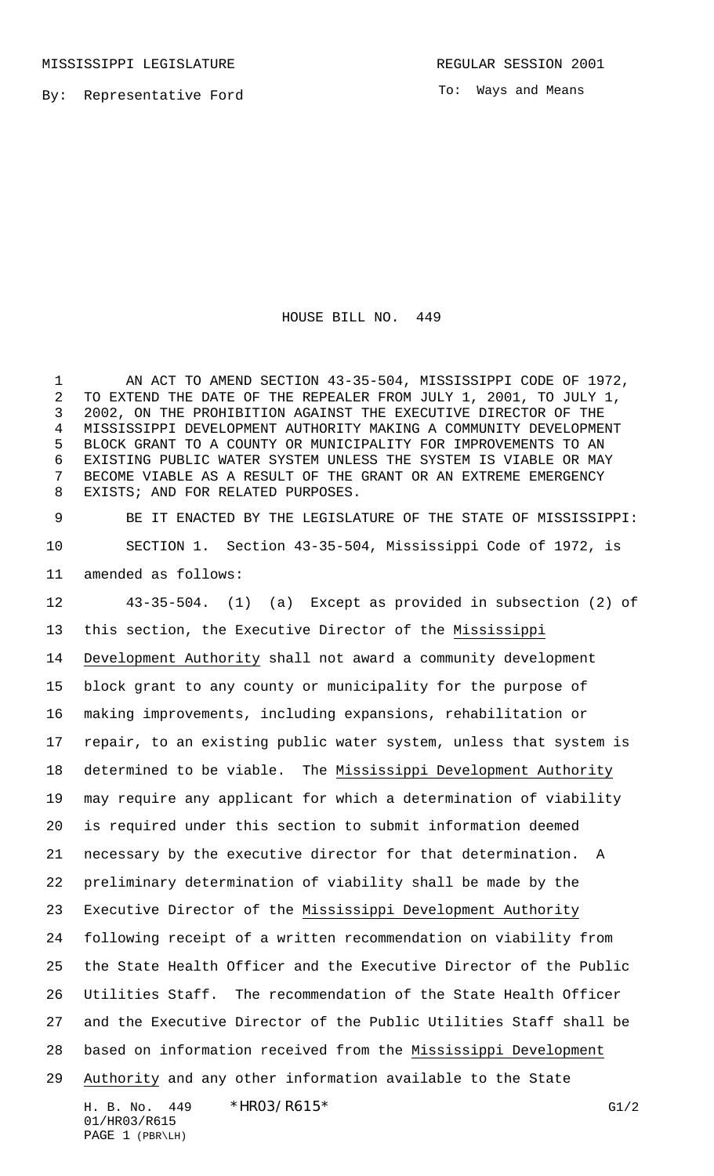To: Ways and Means

## HOUSE BILL NO. 449

 AN ACT TO AMEND SECTION 43-35-504, MISSISSIPPI CODE OF 1972, TO EXTEND THE DATE OF THE REPEALER FROM JULY 1, 2001, TO JULY 1, 2002, ON THE PROHIBITION AGAINST THE EXECUTIVE DIRECTOR OF THE MISSISSIPPI DEVELOPMENT AUTHORITY MAKING A COMMUNITY DEVELOPMENT BLOCK GRANT TO A COUNTY OR MUNICIPALITY FOR IMPROVEMENTS TO AN EXISTING PUBLIC WATER SYSTEM UNLESS THE SYSTEM IS VIABLE OR MAY BECOME VIABLE AS A RESULT OF THE GRANT OR AN EXTREME EMERGENCY EXISTS; AND FOR RELATED PURPOSES.

 BE IT ENACTED BY THE LEGISLATURE OF THE STATE OF MISSISSIPPI: SECTION 1. Section 43-35-504, Mississippi Code of 1972, is amended as follows:

 43-35-504. (1) (a) Except as provided in subsection (2) of this section, the Executive Director of the Mississippi Development Authority shall not award a community development block grant to any county or municipality for the purpose of making improvements, including expansions, rehabilitation or repair, to an existing public water system, unless that system is determined to be viable. The Mississippi Development Authority may require any applicant for which a determination of viability is required under this section to submit information deemed necessary by the executive director for that determination. A preliminary determination of viability shall be made by the Executive Director of the Mississippi Development Authority following receipt of a written recommendation on viability from the State Health Officer and the Executive Director of the Public Utilities Staff. The recommendation of the State Health Officer and the Executive Director of the Public Utilities Staff shall be based on information received from the Mississippi Development Authority and any other information available to the State

H. B. No. 449 \* HRO3/R615\* G1/2 01/HR03/R615 PAGE 1 (PBR\LH)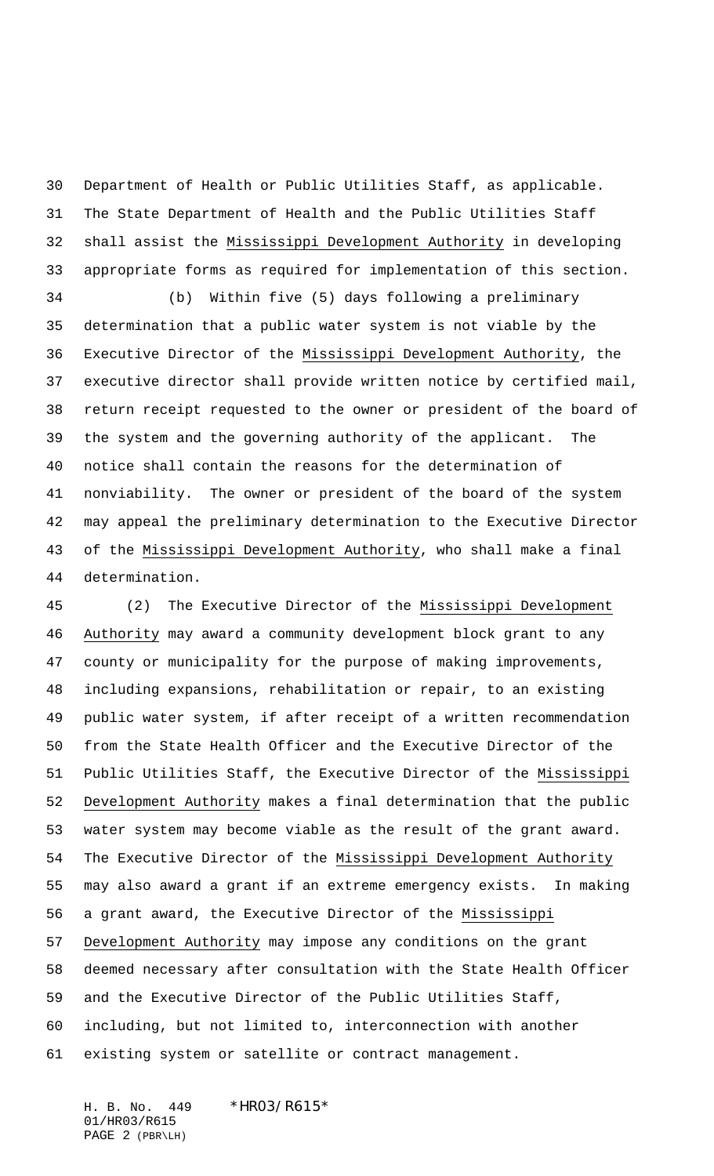Department of Health or Public Utilities Staff, as applicable. The State Department of Health and the Public Utilities Staff shall assist the Mississippi Development Authority in developing appropriate forms as required for implementation of this section.

 (b) Within five (5) days following a preliminary determination that a public water system is not viable by the Executive Director of the Mississippi Development Authority, the executive director shall provide written notice by certified mail, return receipt requested to the owner or president of the board of the system and the governing authority of the applicant. The notice shall contain the reasons for the determination of nonviability. The owner or president of the board of the system may appeal the preliminary determination to the Executive Director 43 of the Mississippi Development Authority, who shall make a final determination.

 (2) The Executive Director of the Mississippi Development Authority may award a community development block grant to any county or municipality for the purpose of making improvements, including expansions, rehabilitation or repair, to an existing public water system, if after receipt of a written recommendation from the State Health Officer and the Executive Director of the Public Utilities Staff, the Executive Director of the Mississippi Development Authority makes a final determination that the public water system may become viable as the result of the grant award. 54 The Executive Director of the Mississippi Development Authority may also award a grant if an extreme emergency exists. In making a grant award, the Executive Director of the Mississippi Development Authority may impose any conditions on the grant deemed necessary after consultation with the State Health Officer and the Executive Director of the Public Utilities Staff, including, but not limited to, interconnection with another existing system or satellite or contract management.

H. B. No. 449 \* HRO3/R615\* 01/HR03/R615 PAGE 2 (PBR\LH)